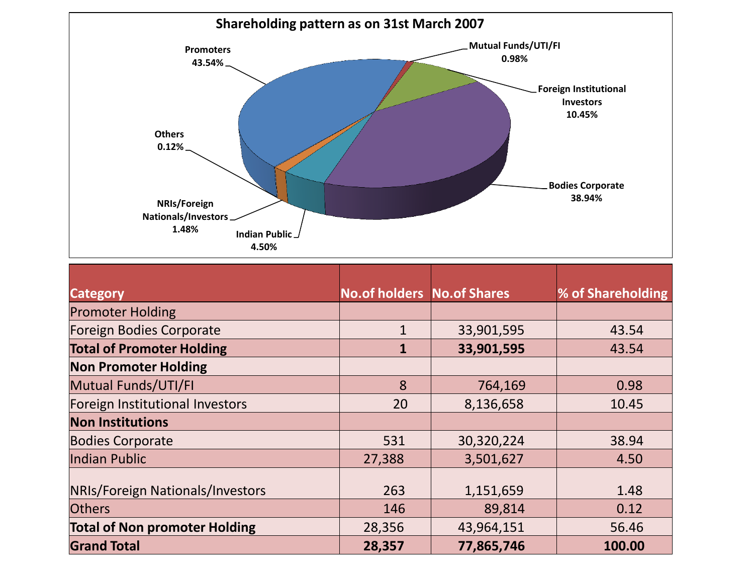

| <b>Category</b>                      | <b>No.of holders No.of Shares</b> |            | <b>% of Shareholding</b> |
|--------------------------------------|-----------------------------------|------------|--------------------------|
| <b>Promoter Holding</b>              |                                   |            |                          |
| Foreign Bodies Corporate             | 1                                 | 33,901,595 | 43.54                    |
| <b>Total of Promoter Holding</b>     | 1                                 | 33,901,595 | 43.54                    |
| <b>Non Promoter Holding</b>          |                                   |            |                          |
| Mutual Funds/UTI/FI                  | 8                                 | 764,169    | 0.98                     |
| Foreign Institutional Investors      | 20                                | 8,136,658  | 10.45                    |
| <b>Non Institutions</b>              |                                   |            |                          |
| <b>Bodies Corporate</b>              | 531                               | 30,320,224 | 38.94                    |
| Indian Public                        | 27,388                            | 3,501,627  | 4.50                     |
| NRIs/Foreign Nationals/Investors     | 263                               | 1,151,659  | 1.48                     |
| <b>Others</b>                        | 146                               | 89,814     | 0.12                     |
| <b>Total of Non promoter Holding</b> | 28,356                            | 43,964,151 | 56.46                    |
| <b>Grand Total</b>                   | 28,357                            | 77,865,746 | 100.00                   |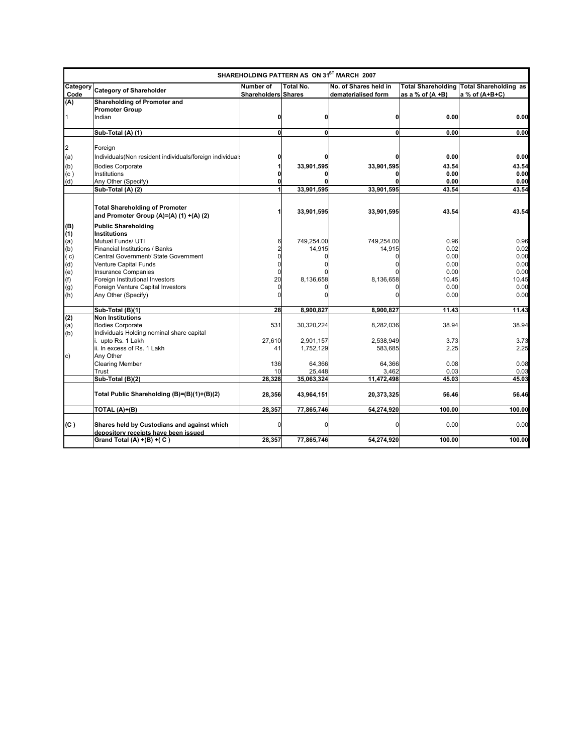|                  | SHAREHOLDING PATTERN AS ON 31ST MARCH 2007                                       |                                         |              |                                              |                     |                                                                   |
|------------------|----------------------------------------------------------------------------------|-----------------------------------------|--------------|----------------------------------------------|---------------------|-------------------------------------------------------------------|
| Category<br>Code | <b>Category of Shareholder</b>                                                   | Number of<br><b>Shareholders Shares</b> | Total No.    | No. of Shares held in<br>dematerialised form | as a % of $(A + B)$ | <b>Total Shareholding Total Shareholding as</b><br>a % of (A+B+C) |
| (A)              | Shareholding of Promoter and                                                     |                                         |              |                                              |                     |                                                                   |
|                  | <b>Promoter Group</b>                                                            |                                         |              |                                              |                     |                                                                   |
| $\overline{1}$   | Indian                                                                           | 0                                       | 0            | 0                                            | 0.00                | 0.00                                                              |
|                  | Sub-Total (A) (1)                                                                | $\mathbf{0}$                            | $\mathbf{0}$ | 0                                            | 0.00                | 0.00                                                              |
| $\overline{2}$   | Foreign                                                                          |                                         |              |                                              |                     |                                                                   |
| (a)              | Individuals (Non resident individuals/foreign individuals                        |                                         |              |                                              | 0.00                | 0.00                                                              |
| (b)              | <b>Bodies Corporate</b>                                                          |                                         | 33,901,595   | 33,901,595                                   | 43.54               | 43.54                                                             |
| (c)              | Institutions                                                                     |                                         |              |                                              | 0.00                | 0.00                                                              |
| (d)              | Any Other (Specify)                                                              |                                         |              |                                              | 0.00                | 0.00                                                              |
|                  | Sub-Total (A) (2)                                                                |                                         | 33,901,595   | 33,901,595                                   | 43.54               | 43.54                                                             |
|                  | <b>Total Shareholding of Promoter</b><br>and Promoter Group (A)=(A) (1) +(A) (2) |                                         | 33,901,595   | 33,901,595                                   | 43.54               | 43.54                                                             |
| (B)              | <b>Public Shareholding</b>                                                       |                                         |              |                                              |                     |                                                                   |
| (1)              | <b>Institutions</b>                                                              |                                         |              |                                              |                     |                                                                   |
| (a)              | Mutual Funds/ UTI                                                                | 6                                       | 749.254.00   | 749.254.00                                   | 0.96                | 0.96                                                              |
| (b)              | Financial Institutions / Banks                                                   | 2                                       | 14,915       | 14,915                                       | 0.02                | 0.02                                                              |
| ( c)             | Central Government/ State Government                                             | $\Omega$                                |              |                                              | 0.00                | 0.00                                                              |
| (d)              | Venture Capital Funds                                                            | $\Omega$                                |              |                                              | 0.00                | 0.00                                                              |
| (e)              | Insurance Companies                                                              | $\Omega$                                |              |                                              | 0.00                | 0.00                                                              |
| (f)              | Foreign Institutional Investors                                                  | 20                                      | 8,136,658    | 8,136,658                                    | 10.45               | 10.45                                                             |
| (g)              | Foreign Venture Capital Investors                                                | $\Omega$                                |              |                                              | 0.00                | 0.00                                                              |
| (h)              | Any Other (Specify)                                                              |                                         |              | ŋ                                            | 0.00                | 0.00                                                              |
|                  | Sub-Total (B)(1)                                                                 | 28                                      | 8,900,827    | 8,900,827                                    | 11.43               | 11.43                                                             |
| (2)              | <b>Non Institutions</b>                                                          |                                         |              |                                              |                     |                                                                   |
| (a)              | <b>Bodies Corporate</b>                                                          | 531                                     | 30,320,224   | 8,282,036                                    | 38.94               | 38.94                                                             |
| (b)              | Individuals Holding nominal share capital                                        |                                         |              |                                              |                     |                                                                   |
|                  | i. upto Rs. 1 Lakh                                                               | 27,610                                  | 2,901,157    | 2,538,949                                    | 3.73                | 3.73                                                              |
|                  | ii. In excess of Rs. 1 Lakh                                                      | 41                                      | 1,752,129    | 583,685                                      | 2.25                | 2.25                                                              |
| c)               | Any Other                                                                        |                                         |              |                                              |                     |                                                                   |
|                  | <b>Clearing Member</b>                                                           | 136                                     | 64,366       | 64,366                                       | 0.08                | 0.08                                                              |
|                  | Trust                                                                            | 10                                      | 25,448       | 3,462                                        | 0.03                | 0.03                                                              |
|                  | Sub-Total (B)(2)                                                                 | 28,328                                  | 35,063,324   | 11,472,498                                   | 45.03               | 45.03                                                             |
|                  | Total Public Shareholding (B)=(B)(1)+(B)(2)                                      | 28,356                                  | 43,964,151   | 20,373,325                                   | 56.46               | 56.46                                                             |
|                  | TOTAL (A)+(B)                                                                    | 28,357                                  | 77,865,746   | 54,274,920                                   | 100.00              | 100.00                                                            |
| (C)              | Shares held by Custodians and against which                                      | $\Omega$                                | $\Omega$     | O                                            | 0.00                | 0.00                                                              |
|                  | depository receipts have been issued<br>Grand Total (A) $+(B) + (C)$             | 28,357                                  | 77,865,746   | 54,274,920                                   | 100.00              | 100.00                                                            |
|                  |                                                                                  |                                         |              |                                              |                     |                                                                   |